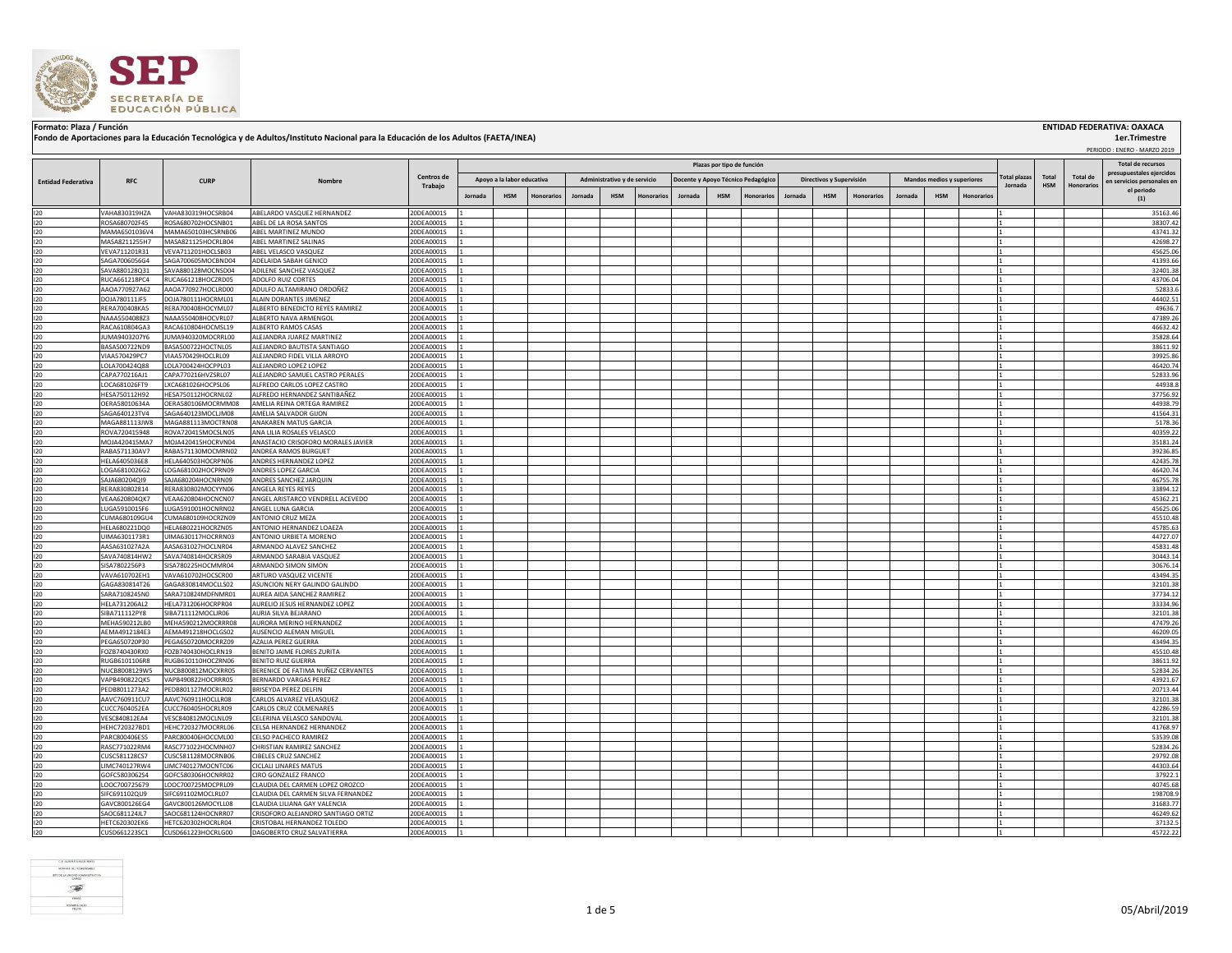

## Formato: Plaza / Función **ENTIDAD FEDERATIVA: OAXACA (INSTITUAL ENTIDA)**<br>Fondo de Aportaciones para la Educación Tecnológica y de Adultos/Instituto Nacional para la Educación de los Adultos (FAETA/INEA)

 PERIODO : ENERO - MARZO 2019  **1er.Trimestre**

|                           |                                |                                          |                                                             |                          | Plazas por tipo de función |                                                                                                                                                            |            |         |            |                   |         |            |                   |         |            | Total de recursos   |         |                 |                                                        |         |            |            |                      |
|---------------------------|--------------------------------|------------------------------------------|-------------------------------------------------------------|--------------------------|----------------------------|------------------------------------------------------------------------------------------------------------------------------------------------------------|------------|---------|------------|-------------------|---------|------------|-------------------|---------|------------|---------------------|---------|-----------------|--------------------------------------------------------|---------|------------|------------|----------------------|
|                           | <b>RFC</b>                     | <b>CURP</b>                              | Nombre                                                      | <b>Centros de</b>        |                            | Apoyo a la labor educativa<br>Administrativo y de servicio<br>Docente y Apoyo Técnico Pedagógico<br>Directivos y Supervisión<br>Mandos medios y superiores |            |         |            |                   |         |            |                   |         |            | <b>Total plazas</b> | Total   | <b>Total de</b> | presupuestales ejercidos<br>en servicios personales en |         |            |            |                      |
| <b>Entidad Federativa</b> |                                |                                          |                                                             | Trabajo                  |                            |                                                                                                                                                            |            |         |            |                   |         |            |                   |         |            |                     |         |                 |                                                        | Jornada | <b>HSM</b> | Honorarios | el periodo           |
|                           |                                |                                          |                                                             |                          | Jornada                    | <b>HSM</b>                                                                                                                                                 | Honorarios | Jornada | <b>HSM</b> | <b>Ionorarios</b> | Jornada | <b>HSM</b> | <b>Honorarios</b> | Jornada | <b>HSM</b> | Honorarios          | Jornada | <b>HSM</b>      | <b>Honorarios</b>                                      |         |            |            | (1)                  |
| 120                       | VAHA830319HZA                  | VAHA830319HOCSRB04                       | ABELARDO VASQUEZ HERNANDEZ                                  | 20DEA0001S               |                            |                                                                                                                                                            |            |         |            |                   |         |            |                   |         |            |                     |         |                 |                                                        |         |            |            | 35163.46             |
| 120                       | ROSA680702F45                  | ROSA680702HOCSNB01                       | ABEL DE LA ROSA SANTOS                                      | 20DEA0001S               |                            |                                                                                                                                                            |            |         |            |                   |         |            |                   |         |            |                     |         |                 |                                                        |         |            |            | 38307.42             |
| 120                       | MAMA6501036V4                  | MAMA650103HCSRNB06                       | ABEL MARTINEZ MUNDO                                         | 20DEA0001S               |                            |                                                                                                                                                            |            |         |            |                   |         |            |                   |         |            |                     |         |                 |                                                        |         |            |            | 43741.32             |
| 120<br>120                | MASA8211255H7<br>VEVA711201R31 | MASA821125HOCRLB04<br>VEVA711201HOCLSB03 | ABEL MARTINEZ SALINAS<br>ABEL VELASCO VASQUEZ               | 20DEA0001S<br>20DEA0001S |                            |                                                                                                                                                            |            |         |            |                   |         |            |                   |         |            |                     |         |                 |                                                        |         |            |            | 42698.27<br>45625.06 |
| 120                       | SAGA7006056G4                  | SAGA700605MOCBND04                       | ADELAIDA SABAH GENICO                                       | 20DEA0001S               |                            |                                                                                                                                                            |            |         |            |                   |         |            |                   |         |            |                     |         |                 |                                                        |         |            |            | 41393.66             |
| 120                       | SAVA880128Q31                  | SAVA880128MOCNSD04                       | ADILENE SANCHEZ VASQUEZ                                     | 20DEA0001S               |                            |                                                                                                                                                            |            |         |            |                   |         |            |                   |         |            |                     |         |                 |                                                        |         |            |            | 32401.38             |
| 120                       | RUCA661218PC4                  | RUCA661218HOCZRD05                       | ADOLFO RUIZ CORTES                                          | 20DEA0001S               |                            |                                                                                                                                                            |            |         |            |                   |         |            |                   |         |            |                     |         |                 |                                                        |         |            |            | 43706.04             |
| 120                       | AAOA770927A62                  | AAOA770927HOCLRD00                       | ADULFO ALTAMIRANO ORDOÑEZ                                   | 20DEA0001S               |                            |                                                                                                                                                            |            |         |            |                   |         |            |                   |         |            |                     |         |                 |                                                        |         |            |            | 52833.6              |
| 120                       | DOJA780111JF5                  | DOJA780111HOCRML01                       | ALAIN DORANTES JIMENEZ                                      | 20DEA0001S               |                            |                                                                                                                                                            |            |         |            |                   |         |            |                   |         |            |                     |         |                 |                                                        |         |            |            | 44402.51             |
| 120                       | RERA700408KA5                  | RERA700408HOCYML07                       | ALBERTO BENEDICTO REYES RAMIREZ                             | 20DEA0001S               |                            |                                                                                                                                                            |            |         |            |                   |         |            |                   |         |            |                     |         |                 |                                                        |         |            |            | 49636.7<br>47389.26  |
| 120<br>120                | NAAA5504088Z3<br>RACA610804GA3 | NAAA550408HOCVRL07<br>RACA610804HOCMSL19 | ALBERTO NAVA ARMENGOL<br>ALBERTO RAMOS CASAS                | 20DEA0001S<br>20DEA0001S |                            |                                                                                                                                                            |            |         |            |                   |         |            |                   |         |            |                     |         |                 |                                                        |         |            |            | 46632.42             |
| 120                       | JUMA9403207Y6                  | JUMA940320MOCRRL00                       | ALEJANDRA JUAREZ MARTINEZ                                   | 20DEA0001S               |                            |                                                                                                                                                            |            |         |            |                   |         |            |                   |         |            |                     |         |                 |                                                        |         |            |            | 35828.64             |
| 120                       | BASA500722ND9                  | BASA500722HOCTNL05                       | ALEJANDRO BAUTISTA SANTIAGO                                 | 20DEA0001S               |                            |                                                                                                                                                            |            |         |            |                   |         |            |                   |         |            |                     |         |                 |                                                        |         |            |            | 38611.92             |
| 120                       | VIAA570429PC7                  | VIAA570429HOCLRL09                       | ALEJANDRO FIDEL VILLA ARROYO                                | 20DEA0001S               |                            |                                                                                                                                                            |            |         |            |                   |         |            |                   |         |            |                     |         |                 |                                                        |         |            |            | 39925.86             |
| 120                       | LOLA700424Q88                  | LOLA700424HOCPPL03                       | ALEJANDRO LOPEZ LOPEZ                                       | 20DEA0001S               |                            |                                                                                                                                                            |            |         |            |                   |         |            |                   |         |            |                     |         |                 |                                                        |         |            |            | 46420.74             |
| 120                       | CAPA770216AJ1                  | CAPA770216HVZSRL07                       | ALEJANDRO SAMUEL CASTRO PERALES                             | 20DEA0001S               |                            |                                                                                                                                                            |            |         |            |                   |         |            |                   |         |            |                     |         |                 |                                                        |         |            |            | 52833.96             |
| 120<br>120                | LOCA681026FT9<br>HESA750112H92 | LXCA681026HOCPSL06<br>HESA750112HOCRNL02 | ALFREDO CARLOS LOPEZ CASTRO<br>ALFREDO HERNANDEZ SANTIBAÑEZ | 20DEA0001S<br>20DEA0001S |                            |                                                                                                                                                            |            |         |            |                   |         |            |                   |         |            |                     |         |                 |                                                        |         |            |            | 44938.8<br>37756.92  |
| 120                       | OERA58010634A                  | OERA580106MOCRMM08                       | AMELIA REINA ORTEGA RAMIREZ                                 | 20DEA0001S               |                            |                                                                                                                                                            |            |         |            |                   |         |            |                   |         |            |                     |         |                 |                                                        |         |            |            | 44938.79             |
| 120                       | SAGA640123TV4                  | SAGA640123MOCLJM08                       | AMELIA SALVADOR GIJON                                       | 20DEA0001S               |                            |                                                                                                                                                            |            |         |            |                   |         |            |                   |         |            |                     |         |                 |                                                        |         |            |            | 41564.31             |
| 120                       | MAGA881113JW8                  | MAGA881113MOCTRN08                       | ANAKAREN MATUS GARCIA                                       | 20DEA0001S               |                            |                                                                                                                                                            |            |         |            |                   |         |            |                   |         |            |                     |         |                 |                                                        |         |            |            | 5178.36              |
| 120                       | ROVA720415948                  | ROVA720415MOCSLN05                       | ANA LILIA ROSALES VELASCO                                   | 20DEA0001S               |                            |                                                                                                                                                            |            |         |            |                   |         |            |                   |         |            |                     |         |                 |                                                        |         |            |            | 40359.22             |
| 120                       | MOJA420415MA7                  | MOJA420415HOCRVN04                       | ANASTACIO CRISOFORO MORALES JAVIER                          | 20DEA0001S               |                            |                                                                                                                                                            |            |         |            |                   |         |            |                   |         |            |                     |         |                 |                                                        |         |            |            | 35181.24             |
| 120                       | RABA571130AV7                  | RABA571130MOCMRN02                       | ANDREA RAMOS BURGUET                                        | 20DEA0001S               |                            |                                                                                                                                                            |            |         |            |                   |         |            |                   |         |            |                     |         |                 |                                                        |         |            |            | 39236.85             |
| 120<br>120                | HELA6405036E8<br>LOGA6810026G2 | HELA640503HOCRPN06                       | ANDRES HERNANDEZ LOPEZ                                      | 20DEA0001S               |                            |                                                                                                                                                            |            |         |            |                   |         |            |                   |         |            |                     |         |                 |                                                        |         |            |            | 42435.78<br>46420.74 |
| 120                       | SAJA680204QI9                  | LOGA681002HOCPRN09<br>SAJA680204HOCNRN09 | ANDRES LOPEZ GARCIA<br>ANDRES SANCHEZ JARQUIN               | 20DEA0001S<br>20DEA0001S |                            |                                                                                                                                                            |            |         |            |                   |         |            |                   |         |            |                     |         |                 |                                                        |         |            |            | 46755.78             |
| 120                       | RERA830802814                  | RERA830802MOCYYN06                       | ANGELA REYES REYES                                          | 20DEA0001S               |                            |                                                                                                                                                            |            |         |            |                   |         |            |                   |         |            |                     |         |                 |                                                        |         |            |            | 33894.12             |
| 120                       | VEAA620804QK7                  | VEAA620804HOCNCN07                       | ANGEL ARISTARCO VENDRELL ACEVEDO                            | 20DEA0001S               |                            |                                                                                                                                                            |            |         |            |                   |         |            |                   |         |            |                     |         |                 |                                                        |         |            |            | 45362.21             |
| 120                       | LUGA5910015F6                  | LUGA591001HOCNRN02                       | ANGEL LUNA GARCIA                                           | 20DEA0001S               |                            |                                                                                                                                                            |            |         |            |                   |         |            |                   |         |            |                     |         |                 |                                                        |         |            |            | 45625.06             |
| 120                       | CUMA680109GU4                  | CUMA680109HOCRZN09                       | ANTONIO CRUZ MEZA                                           | 20DEA0001S               |                            |                                                                                                                                                            |            |         |            |                   |         |            |                   |         |            |                     |         |                 |                                                        |         |            |            | 45510.48             |
| 120                       | HELA680221DQ0                  | HELA680221HOCRZN05                       | ANTONIO HERNANDEZ LOAEZA                                    | 20DEA0001S               |                            |                                                                                                                                                            |            |         |            |                   |         |            |                   |         |            |                     |         |                 |                                                        |         |            |            | 45785.63             |
| 120<br>120                | UIMA6301173R1<br>AASA631027A2A | UIMA630117HOCRRN03<br>AASA631027HOCLNR04 | ANTONIO URBIETA MORENO<br>ARMANDO ALAVEZ SANCHEZ            | 20DEA0001S<br>20DEA0001S |                            |                                                                                                                                                            |            |         |            |                   |         |            |                   |         |            |                     |         |                 |                                                        |         |            |            | 44727.07<br>45831.48 |
| 120                       | SAVA740814HW2                  | SAVA740814HOCRSR09                       | ARMANDO SARABIA VASQUEZ                                     | 20DEA0001S               |                            |                                                                                                                                                            |            |         |            |                   |         |            |                   |         |            |                     |         |                 |                                                        |         |            |            | 30443.14             |
| 120                       | SISA7802256P3                  | SISA780225HOCMMR04                       | ARMANDO SIMON SIMON                                         | 20DEA0001S               |                            |                                                                                                                                                            |            |         |            |                   |         |            |                   |         |            |                     |         |                 |                                                        |         |            |            | 30676.14             |
| 120                       | VAVA610702EH1                  | VAVA610702HOCSCR00                       | ARTURO VASQUEZ VICENTE                                      | 20DEA0001S               |                            |                                                                                                                                                            |            |         |            |                   |         |            |                   |         |            |                     |         |                 |                                                        |         |            |            | 43494.35             |
| 120                       | GAGA830814T26                  | GAGA830814MOCLLS02                       | ASUNCION NERY GALINDO GALINDO                               | 20DEA0001S               |                            |                                                                                                                                                            |            |         |            |                   |         |            |                   |         |            |                     |         |                 |                                                        |         |            |            | 32101.38             |
| 120                       | SARA7108245N0                  | SARA710824MDFNMR01                       | AUREA AIDA SANCHEZ RAMIREZ                                  | 20DEA0001S               |                            |                                                                                                                                                            |            |         |            |                   |         |            |                   |         |            |                     |         |                 |                                                        |         |            |            | 37734.12             |
| 120                       | HELA731206AL2                  | HELA731206HOCRPR04                       | AURELIO JESUS HERNANDEZ LOPEZ                               | 20DEA0001S               |                            |                                                                                                                                                            |            |         |            |                   |         |            |                   |         |            |                     |         |                 |                                                        | 11      |            |            | 33334.96             |
| 120<br>120                | SIBA711112PY8<br>MEHA590212LB0 | SIBA711112MOCLIR06<br>MEHA590212MOCRRR08 | AURIA SILVA BEJARANO<br>AURORA MERINO HERNANDEZ             | 20DEA0001S<br>20DEA0001S |                            |                                                                                                                                                            |            |         |            |                   |         |            |                   |         |            |                     |         |                 |                                                        |         |            |            | 32101.38<br>47479.26 |
| 120                       | AEMA4912184E3                  | AEMA491218HOCLGS02                       | AUSENCIO ALEMAN MIGUEL                                      | 20DEA0001S               |                            |                                                                                                                                                            |            |         |            |                   |         |            |                   |         |            |                     |         |                 |                                                        | 11      |            |            | 46209.05             |
| 120                       | PEGA650720P30                  | PEGA650720MOCRRZ09                       | AZALIA PEREZ GUERRA                                         | 20DEA0001S               |                            |                                                                                                                                                            |            |         |            |                   |         |            |                   |         |            |                     |         |                 |                                                        |         |            |            | 43494.35             |
| 120                       | FOZB740430RX0                  | FOZB740430HOCLRN19                       | BENITO JAIME FLORES ZURITA                                  | 20DEA0001S               |                            |                                                                                                                                                            |            |         |            |                   |         |            |                   |         |            |                     |         |                 |                                                        |         |            |            | 45510.48             |
| 120                       | RUGB6101106R8                  | RUGB610110HOCZRN06                       | BENITO RUIZ GUERRA                                          | 20DEA0001S               |                            |                                                                                                                                                            |            |         |            |                   |         |            |                   |         |            |                     |         |                 |                                                        |         |            |            | 38611.92             |
| 120                       | NUCB8008129W5                  | NUCB800812MOCXRR05                       | BERENICE DE FATIMA NUÑEZ CERVANTES                          | 20DEA0001S               |                            |                                                                                                                                                            |            |         |            |                   |         |            |                   |         |            |                     |         |                 |                                                        |         |            |            | 52834.26             |
| 120                       | VAPB490822QK5                  | VAPB490822HOCRRR05                       | BERNARDO VARGAS PEREZ                                       | 20DEA0001S               |                            |                                                                                                                                                            |            |         |            |                   |         |            |                   |         |            |                     |         |                 |                                                        |         |            |            | 43921.67             |
| 120                       | PEDB8011273A2<br>AAVC760911CU7 | PEDB801127MOCRLR02                       | BRISEYDA PEREZ DELFIN                                       | 20DEA0001S               |                            |                                                                                                                                                            |            |         |            |                   |         |            |                   |         |            |                     |         |                 |                                                        |         |            |            | 20713.44             |
| 120<br>120                | CUCC7604052EA                  | AAVC760911HOCLLR08<br>CUCC760405HOCRLR09 | CARLOS ALVAREZ VELASQUEZ<br>CARLOS CRUZ COLMENARES          | 20DEA0001S<br>20DEA0001S |                            |                                                                                                                                                            |            |         |            |                   |         |            |                   |         |            |                     |         |                 |                                                        |         |            |            | 32101.38<br>42286.59 |
| 120                       | VESC840812EA4                  | VESC840812MOCLNL09                       | CELERINA VELASCO SANDOVAL                                   | 20DEA0001S               |                            |                                                                                                                                                            |            |         |            |                   |         |            |                   |         |            |                     |         |                 |                                                        |         |            |            | 32101.38             |
| 120                       | HEHC720327BD1                  | HEHC720327MOCRRL06                       | CELSA HERNANDEZ HERNANDEZ                                   | 20DEA0001S               |                            |                                                                                                                                                            |            |         |            |                   |         |            |                   |         |            |                     |         |                 |                                                        |         |            |            | 41768.97             |
| 120                       | PARC800406ES5                  | PARC800406HOCCML00                       | CELSO PACHECO RAMIREZ                                       | 20DEA0001S               |                            |                                                                                                                                                            |            |         |            |                   |         |            |                   |         |            |                     |         |                 |                                                        |         |            |            | 53539.08             |
| 120                       | RASC771022RM4                  | RASC771022HOCMNH07                       | CHRISTIAN RAMIREZ SANCHEZ                                   | 20DEA0001S               |                            |                                                                                                                                                            |            |         |            |                   |         |            |                   |         |            |                     |         |                 |                                                        |         |            |            | 52834.26             |
| 120                       | CUSC581128CS7                  | CUSC581128MOCRNB06                       | <b>CIBELES CRUZ SANCHEZ</b>                                 | 20DEA0001S               |                            |                                                                                                                                                            |            |         |            |                   |         |            |                   |         |            |                     |         |                 |                                                        |         |            |            | 29792.08             |
| 120                       | LIMC740127RW4<br>GOFC5803062S4 | LIMC740127MOCNTC06<br>GOFC580306HOCNRR02 | <b>CICLALI LINARES MATUS</b><br>CIRO GONZALEZ FRANCO        | 20DEA0001S<br>20DEA0001S |                            |                                                                                                                                                            |            |         |            |                   |         |            |                   |         |            |                     |         |                 |                                                        |         |            |            | 44303.64<br>37922.1  |
| 120<br>120                | LOOC700725679                  | LOOC700725MOCPRL09                       | CLAUDIA DEL CARMEN LOPEZ OROZCO                             | 20DEA0001S               |                            |                                                                                                                                                            |            |         |            |                   |         |            |                   |         |            |                     |         |                 |                                                        |         |            |            | 40745.68             |
| 120                       | SIFC691102QU9                  | SIFC691102MOCLRL07                       | CLAUDIA DEL CARMEN SILVA FERNANDEZ                          | 20DEA0001S               |                            |                                                                                                                                                            |            |         |            |                   |         |            |                   |         |            |                     |         |                 |                                                        |         |            |            | 198708.9             |
| 120                       | GAVC800126EG4                  | GAVC800126MOCYLL08                       | CLAUDIA LILIANA GAY VALENCIA                                | 20DEA0001S               |                            |                                                                                                                                                            |            |         |            |                   |         |            |                   |         |            |                     |         |                 |                                                        |         |            |            | 31683.77             |
| 120                       | SAOC681124JL7                  | SAOC681124HOCNRR07                       | CRISOFORO ALEJANDRO SANTIAGO ORTIZ                          | 20DEA0001S               |                            |                                                                                                                                                            |            |         |            |                   |         |            |                   |         |            |                     |         |                 |                                                        |         |            |            | 46249.62             |
| 120                       | HETC620302EK6                  | HETC620302HOCRLR04                       | CRISTOBAL HERNANDEZ TOLEDO                                  | 20DEA0001S               |                            |                                                                                                                                                            |            |         |            |                   |         |            |                   |         |            |                     |         |                 |                                                        |         |            |            | 37132.5              |
| 120                       | CUSD661223SC1                  | CUSD661223HOCRLG00                       | DAGOBERTO CRUZ SALVATIERRA                                  | 20DEA0001S               |                            |                                                                                                                                                            |            |         |            |                   |         |            |                   |         |            |                     |         |                 |                                                        |         |            |            | 45722.22             |

| $\begin{tabular}{c} 2.58888 & 2.59888 \\ 2.59888 & 2.59888 \\ 2.5988 & 2.59888 \\ \end{tabular}$ | 1 de 5 | 05/Abril/2019 |
|--------------------------------------------------------------------------------------------------|--------|---------------|
| $-25$<br><u>n</u>                                                                                |        |               |
| NOMER DEL REPOSSABLE<br>__RPE DE LA LINDAD ADMINISTRATIVA                                        |        |               |
|                                                                                                  |        |               |
| CP. (AVER TURBOT REYES                                                                           |        |               |
|                                                                                                  |        |               |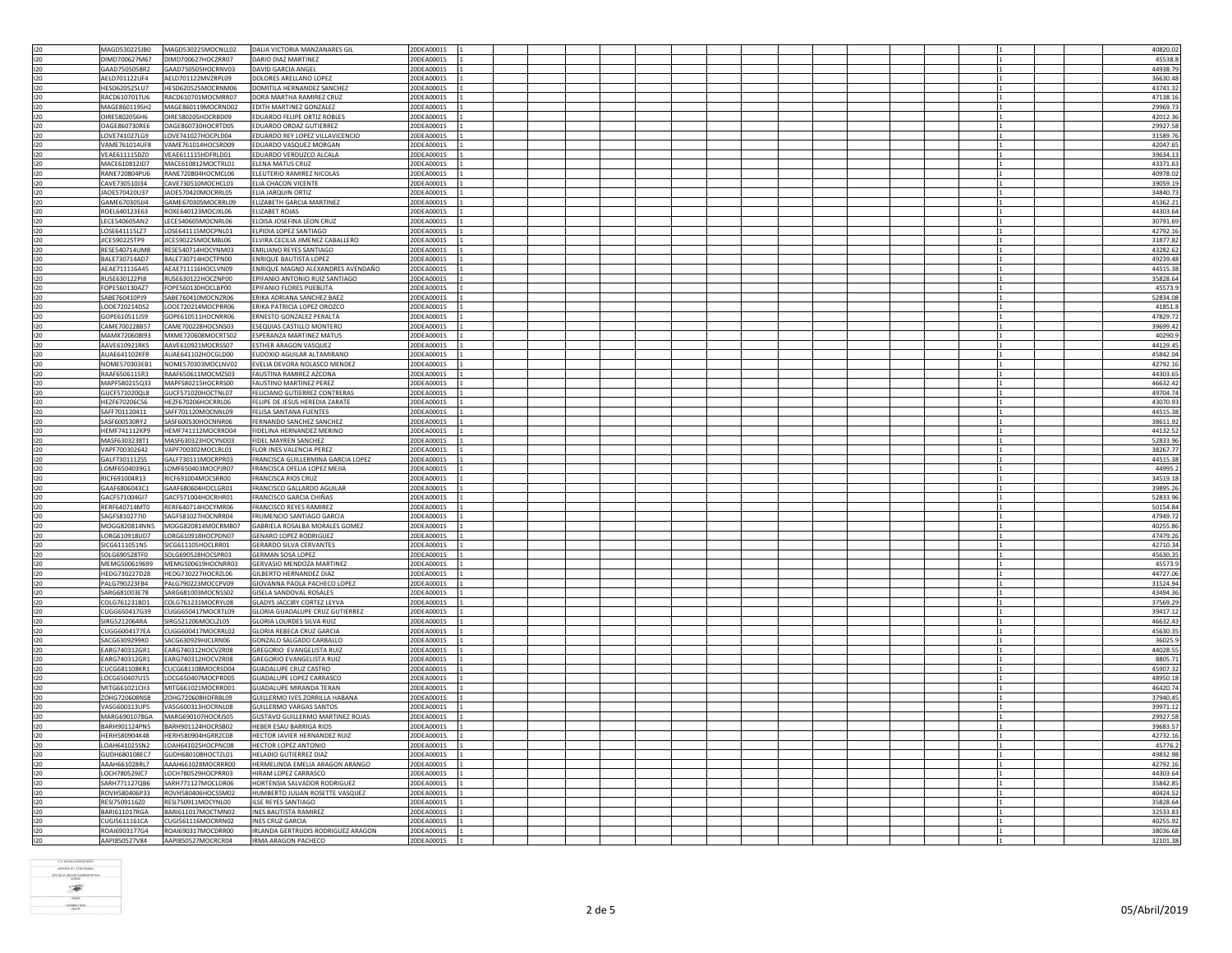|     |                      | MAGD530225MOCNLL02 |                                        |            |  |  |  |  |  |  |  |          |
|-----|----------------------|--------------------|----------------------------------------|------------|--|--|--|--|--|--|--|----------|
| 120 | MAGD530225JB0        |                    | DALIA VICTORIA MANZANARES GIL          | 20DEA0001S |  |  |  |  |  |  |  | 40820.02 |
| 120 | DIMD700627M67        | DIMD700627HOCZRR07 | DARIO DIAZ MARTINEZ                    | 20DEA0001S |  |  |  |  |  |  |  | 45538.8  |
| 120 | GAAD7505058R2        | GAAD750505HOCRNV03 | DAVID GARCIA ANGEL                     | 20DEA0001S |  |  |  |  |  |  |  | 44938.79 |
|     |                      |                    |                                        |            |  |  |  |  |  |  |  |          |
| 120 | AELD701122UF4        | AELD701122MVZRPL09 | DOLORES ARELLANO LOPEZ                 | 20DEA0001S |  |  |  |  |  |  |  | 36630.48 |
| 120 | HESD620525LU7        | HESD620525MOCRNM06 | DOMITILA HERNANDEZ SANCHEZ             | 20DEA0001S |  |  |  |  |  |  |  | 43741.32 |
| 120 | RACD610701TU6        | RACD610701MOCMRR07 | DORA MARTHA RAMIREZ CRUZ               | 20DEA0001S |  |  |  |  |  |  |  | 47138.16 |
|     |                      |                    |                                        |            |  |  |  |  |  |  |  |          |
| 120 | MAGE860119SH2        | MAGE860119MOCRND02 | EDITH MARTINEZ GONZALEZ                | 20DEA0001S |  |  |  |  |  |  |  | 29969.73 |
| 120 | OIRE5802056H6        | OIRE580205HOCRBD09 | EDUARDO FELIPE ORTIZ ROBLES            | 20DEA0001S |  |  |  |  |  |  |  | 42012.36 |
| 120 | OAGE860730RE6        | OAGE860730HOCRTD05 | EDUARDO ORDAZ GUTIERREZ                | 20DEA0001S |  |  |  |  |  |  |  | 29927.58 |
|     | LOVE741027LG9        | LOVE741027HOCPLD04 | <b>EDUARDO REY LOPEZ VILLAVICENCIO</b> |            |  |  |  |  |  |  |  | 31589.7  |
| 120 |                      |                    |                                        | 20DEA0001S |  |  |  |  |  |  |  |          |
| 120 | VAME761014UF8        | VAME761014HOCSRD09 | EDUARDO VASQUEZ MORGAN                 | 20DEA0001S |  |  |  |  |  |  |  | 42047.65 |
| 120 | VFAF611115D70        | VEAF611115HDERLD01 | <b>FDUARDO VERDUZCO ALCALA</b>         | 20DEA0001S |  |  |  |  |  |  |  | 39634.13 |
|     |                      |                    |                                        |            |  |  |  |  |  |  |  |          |
| 120 | MACE610812JD7        | MACE610812MOCTRL01 | ELENA MATUS CRUZ                       | 20DEA0001S |  |  |  |  |  |  |  | 43371.63 |
| 120 | RANE720804PU6        | RANE720804HOCMCL06 | ELEUTERIO RAMIREZ NICOLAS              | 20DEA0001S |  |  |  |  |  |  |  | 40978.02 |
| 120 | CAVE730510J34        | CAVE730510MOCHCL01 | ELIA CHACON VICENTE                    | 20DEA0001S |  |  |  |  |  |  |  | 39059.19 |
|     |                      |                    |                                        |            |  |  |  |  |  |  |  |          |
| 120 | JA0E570420U37        | JAOE570420MOCRRL05 | ELIA JARQUIN ORTIZ                     | 20DEA0001S |  |  |  |  |  |  |  | 34840.73 |
| 120 | GAME670305JJ4        | GAME670305MOCRRL09 | ELIZABETH GARCIA MARTINEZ              | 20DEA0001S |  |  |  |  |  |  |  | 45362.21 |
| 120 | ROEL640123E63        | ROXE640123MOCJXL06 | ELIZABET ROJAS                         | 20DEA0001S |  |  |  |  |  |  |  | 44303.64 |
|     | LECE540605AN2        | LECE540605MOCNRL06 | <b>FLOISA JOSEFINA LEON CRUZ</b>       | 20DEA0001S |  |  |  |  |  |  |  |          |
| 120 |                      |                    |                                        |            |  |  |  |  |  |  |  | 30791.69 |
| 120 | LOSE641115LZ7        | LOSE641115MOCPNL01 | ELPIDIA LOPEZ SANTIAGO                 | 20DEA0001S |  |  |  |  |  |  |  | 42792.16 |
| 120 | <b>IICE590225TP9</b> | IICE590225MOCMBL06 | FIVIRA CECILIA IIMENEZ CABALLERO       | 20DEA0001S |  |  |  |  |  |  |  | 31877.82 |
|     |                      |                    |                                        |            |  |  |  |  |  |  |  |          |
| 120 | RESE540714UM8        | RESE540714HOCYNM03 | EMILIANO REYES SANTIAGO                | 20DEA0001S |  |  |  |  |  |  |  | 43282.62 |
| 120 | BALE730714AD7        | BALE730714HOCTPN00 | ENRIQUE BAUTISTA LOPEZ                 | 20DEA0001S |  |  |  |  |  |  |  | 49239.48 |
| 120 | AEAE711116A45        | AEAE711116HOCLVN09 | ENRIQUE MAGNO ALEXANDRES AVENDAÑO      | 20DEA0001S |  |  |  |  |  |  |  | 44515.38 |
|     |                      |                    |                                        |            |  |  |  |  |  |  |  |          |
| 120 | RUSE630122PI8        | RUSE630122HOCZNP00 | EPIFANIO ANTONIO RUIZ SANTIAGO         | 20DEA0001S |  |  |  |  |  |  |  | 35828.64 |
| 120 | FOPE560130AZ7        | FOPE560130HOCLBP00 | EPIFANIO FLORES PUEBLITA               | 20DEA0001S |  |  |  |  |  |  |  | 45573.9  |
| 120 | SABE760410PJ9        | SABE760410MOCNZR06 | ERIKA ADRIANA SANCHEZ BAEZ             | 20DEA0001S |  |  |  |  |  |  |  | 52834.08 |
|     | LOOE720214DS2        |                    | ERIKA PATRICIA LOPEZ OROZCO            |            |  |  |  |  |  |  |  |          |
| 120 |                      | LOOE720214MOCPRR06 |                                        | 20DEA0001S |  |  |  |  |  |  |  | 41851.8  |
| 120 | GOPE610511J59        | GOPE610511HOCNRR06 | ERNESTO GONZALEZ PERALTA               | 20DEA0001S |  |  |  |  |  |  |  | 47829.72 |
| 120 | CAMF700228B57        | CAME700228HOCSNS03 | <b>ESEQUIAS CASTILLO MONTERO</b>       | 20DEA0001S |  |  |  |  |  |  |  | 39699.42 |
|     |                      |                    |                                        |            |  |  |  |  |  |  |  |          |
| 120 | MAMX720608I93        | MXME720608MOCRTS02 | ESPERANZA MARTINEZ MATUS               | 20DEA0001S |  |  |  |  |  |  |  | 40290.9  |
| 120 | AAVE610921RK5        | AAVE610921MOCRSS07 | <b>ESTHER ARAGON VASQUEZ</b>           | 20DEA0001S |  |  |  |  |  |  |  | 44129.45 |
| 120 | AUAE641102KF8        | AUAE641102HOCGLD00 | EUDOXIO AGUILAR ALTAMIRANO             | 20DEA0001S |  |  |  |  |  |  |  | 45842.04 |
|     |                      |                    |                                        |            |  |  |  |  |  |  |  |          |
| 120 | NOME570303EB1        | NOME570303MOCLNV02 | EVELIA DEVORA NOLASCO MENDEZ           | 20DEA0001S |  |  |  |  |  |  |  | 42792.16 |
| 120 | RAAF6506115R3        | RAAF650611MOCMZS03 | FAUSTINA RAMIREZ AZCONA                | 20DEA0001S |  |  |  |  |  |  |  | 44303.65 |
| 120 | MAPF580215Q33        | MAPF580215HOCRRS00 | FAUSTINO MARTINEZ PEREZ                | 20DEA0001S |  |  |  |  |  |  |  | 46632.42 |
|     |                      |                    |                                        |            |  |  |  |  |  |  |  |          |
| 120 | GUCF571020QL8        | GUCF571020HOCTNL07 | FELICIANO GUTIERREZ CONTRERAS          | 20DEA0001S |  |  |  |  |  |  |  | 49704.74 |
| 120 | HEZF670206C56        | HEZF670206HOCRRL06 | FELIPE DE JESUS HEREDIA ZARATE         | 20DEA0001S |  |  |  |  |  |  |  | 43070.93 |
| 120 | SAFF701120411        | SAFF701120MOCNNL09 | FELISA SANTANA FUENTES                 | 20DEA0001S |  |  |  |  |  |  |  | 44515.38 |
|     |                      |                    |                                        |            |  |  |  |  |  |  |  |          |
| 120 | SASF600530RY2        | SASF600530HOCNNR06 | FERNANDO SANCHEZ SANCHEZ               | 20DEA0001S |  |  |  |  |  |  |  | 38611.92 |
| 120 | <b>HEMF741112KP9</b> | HEMF741112MOCRRD04 | FIDELINA HERNANDEZ MERINO              | 20DEA0001S |  |  |  |  |  |  |  | 44132.52 |
|     | MASF6303238T1        |                    |                                        |            |  |  |  |  |  |  |  |          |
|     |                      |                    |                                        |            |  |  |  |  |  |  |  |          |
| 120 |                      | MASF630323HOCYND03 | <b>FIDEL MAYREN SANCHEZ</b>            | 20DEA0001S |  |  |  |  |  |  |  | 52833.96 |
| 120 | VAPE700302642        | VAPF700302MOCLRL01 | FLOR INES VALENCIA PEREZ               | 20DEA0001S |  |  |  |  |  |  |  | 38267.77 |
| 120 | GALF7301112S5        | GALF730111MOCRPR03 | FRANCISCA GUILLERMINA GARCIA LOPEZ     | 20DEA0001S |  |  |  |  |  |  |  | 44515.38 |
|     |                      |                    |                                        |            |  |  |  |  |  |  |  |          |
| 120 | LOMF6504039G1        | LOMF650403MOCPJR07 | FRANCISCA OFELIA LOPEZ MEJIA           | 20DEA0001S |  |  |  |  |  |  |  | 44995.   |
| 120 | RICF691004R13        | RICF691004MOCSRR00 | FRANCISCA RIOS CRUZ                    | 20DEA0001S |  |  |  |  |  |  |  | 34519.18 |
|     |                      |                    |                                        |            |  |  |  |  |  |  |  |          |
| 120 | GAAF6806043C1        | GAAF680604HOCLGR01 | FRANCISCO GALLARDO AGUILAR             | 20DEA0001S |  |  |  |  |  |  |  | 39895.26 |
| 120 | GACF571004GI7        | GACF571004HOCRHR01 | FRANCISCO GARCIA CHIÑAS                | 20DEA0001S |  |  |  |  |  |  |  | 52833.96 |
| 120 | RERF640714MT0        | RERF640714HOCYMR06 | FRANCISCO REYES RAMIREZ                | 20DEA0001S |  |  |  |  |  |  |  | 50154.84 |
|     | SAGE5810277I0        | SAGF581027HOCNRR04 | FRUMENCIO SANTIAGO GARCIA              | 20DEA0001S |  |  |  |  |  |  |  |          |
| 120 |                      |                    |                                        |            |  |  |  |  |  |  |  | 47949.72 |
| 120 | MOGG820814NN5        | MOGG820814MOCRMB07 | GABRIELA ROSALBA MORALES GOMEZ         | 20DEA0001S |  |  |  |  |  |  |  | 40255.86 |
| 120 | LORG610918UD7        | LORG610918HOCPDN07 | GENARO LOPEZ RODRIGUEZ                 | 20DEA0001S |  |  |  |  |  |  |  | 47479.26 |
| 120 | SICG6111051N5        | SICG611105HOCLRR01 | <b>GERARDO SILVA CERVANTES</b>         | 20DEA0001S |  |  |  |  |  |  |  | 42710.34 |
|     |                      |                    |                                        |            |  |  |  |  |  |  |  |          |
| 120 | SOLG690528TF0        | SOLG690528HOCSPR03 | GERMAN SOSA LOPEZ                      | 20DEA0001S |  |  |  |  |  |  |  | 45630.35 |
| 120 | MEMG500619699        | MEMG500619HOCNRR03 | GERVASIO MENDOZA MARTINEZ              | 20DEA0001S |  |  |  |  |  |  |  | 45573.9  |
|     |                      |                    |                                        |            |  |  |  |  |  |  |  |          |
| 120 | HEDG730227D28        | HEDG730227HOCRZL06 | GILBERTO HERNANDEZ DIAZ                | 20DEA0001S |  |  |  |  |  |  |  | 44727.06 |
| 120 | PALG790223FB4        | PALG790223MOCCPV09 | GIOVANNA PAOLA PACHECO LOPEZ           | 20DEA0001S |  |  |  |  |  |  |  | 31524.94 |
| 120 | SARG681003E78        | SARG681003MOCNSS02 | GISELA SANDOVAL ROSALES                | 20DEA0001S |  |  |  |  |  |  |  | 43494.36 |
| 120 | COLG761231BD1        | COLG761231MOCRYL08 | <b>GLADYS JACCIRY CORTEZ LEYVA</b>     | 20DEA0001S |  |  |  |  |  |  |  | 37569.29 |
|     |                      |                    |                                        |            |  |  |  |  |  |  |  |          |
| 120 | CUGG650417G39        | CUGG650417MOCRTL09 | GLORIA GUADALUPE CRUZ GUTIERREZ        | 20DEA0001S |  |  |  |  |  |  |  | 39417.12 |
| 120 | SIRG5212064RA        | SIRG521206MOCLZL05 | GLORIA LOURDES SILVA RUIZ              | 20DEA0001S |  |  |  |  |  |  |  | 46632.43 |
| 120 | CUGG6004177EA        | CUGG600417MOCRRL02 | GLORIA REBECA CRUZ GARCIA              | 20DEA0001S |  |  |  |  |  |  |  | 45630.35 |
|     |                      |                    |                                        |            |  |  |  |  |  |  |  |          |
| 120 | SACG6309299K0        | SACG630929HJCLRN06 | GONZALO SALGADO CARBALLO               | 20DEA0001S |  |  |  |  |  |  |  | 36025.9  |
| 120 | EARG740312GR1        | EARG740312HOCVZR08 | GREGORIO EVANGELISTA RUIZ              | 20DEA0001S |  |  |  |  |  |  |  | 44028.55 |
| 120 | EARG740312GR1        | EARG740312HOCVZR08 | GREGORIO EVANGELISTA RUIZ              | 20DEA0001S |  |  |  |  |  |  |  | 8805.71  |
|     |                      |                    |                                        |            |  |  |  |  |  |  |  |          |
| 120 | CUCG681108KR1        | CUCG681108MOCRSD04 | <b>GUADALUPE CRUZ CASTRO</b>           | 20DEA0001S |  |  |  |  |  |  |  | 45907.32 |
| 120 | LOCG650407U15        | LOCG650407MOCPRD05 | <b>GUADALUPE LOPEZ CARRASCO</b>        | 20DEA0001S |  |  |  |  |  |  |  | 48950.18 |
|     |                      | MITG661021MOCRRD01 | GUADALUPE MIRANDA TERAN                | 20DEA0001S |  |  |  |  |  |  |  |          |
| 120 | MITG661021CH3        |                    |                                        |            |  |  |  |  |  |  |  | 46420.74 |
| 120 | ZOHG720608NS8        | ZOHG720608HDFRBL09 | GUILLERMO IVES ZORRILLA HABANA         | 20DEA0001S |  |  |  |  |  |  |  | 37940.45 |
| 120 | VASG600313UP5        | VASG600313HOCRNL08 | GUILLERMO VARGAS SANTOS                | 20DEA0001S |  |  |  |  |  |  |  | 39971.12 |
|     |                      | MARG690107HOCRJS05 | GUSTAVO GUILLERMO MARTINEZ ROJAS       |            |  |  |  |  |  |  |  |          |
| 120 | MARG6901078GA        |                    |                                        | 20DEA0001S |  |  |  |  |  |  |  | 29927.58 |
| 120 | BARH901124PN5        | BARH901124HOCRSB02 | HEBER ESAU BARRIGA RIOS                | 20DEA0001S |  |  |  |  |  |  |  | 39683.5  |
| 120 | HERH580904K48        | HERH580904HGRRZC08 | HECTOR JAVIER HERNANDEZ RUIZ           | 20DEA0001S |  |  |  |  |  |  |  | 42732.16 |
|     |                      | LOAH641025HOCPNC08 | HECTOR LOPEZ ANTONIO                   |            |  |  |  |  |  |  |  |          |
| 120 | LOAH641025SN2        |                    |                                        | 20DEA0001S |  |  |  |  |  |  |  | 45776.2  |
| 120 | GUDH680108EC7        | GUDH680108HOCTZL01 | <b>HELADIO GUTIERREZ DIAZ</b>          | 20DEA0001S |  |  |  |  |  |  |  | 49832.98 |
| 120 | AAAH661028RL7        | AAAH661028MOCRRR00 | HERMELINDA EMELIA ARAGON ARANGO        | 20DEA0001S |  |  |  |  |  |  |  | 42792.16 |
|     | LOCH780529JC7        | LOCH780529HOCPRR03 |                                        | 20DEA0001S |  |  |  |  |  |  |  |          |
| 120 |                      |                    | HIRAM LOPEZ CARRASCO                   |            |  |  |  |  |  |  |  | 44303.64 |
| 120 | SARH771127QB6        | SARH771127MOCLDR06 | HORTENSIA SALVADOR RODRIGUEZ           | 20DEA0001S |  |  |  |  |  |  |  | 35842.85 |
| 120 | ROVH580406P33        | ROVH580406HOCSSM02 | HUMBERTO IUI IAN ROSETTE VASOUEZ       | 20DEA0001S |  |  |  |  |  |  |  | 40424.52 |
|     | RESI7509116Z0        | RESI750911MOCYNL00 | <b>ILSE REYES SANTIAGO</b>             | 20DEA0001S |  |  |  |  |  |  |  | 35828.6  |
| 120 |                      |                    |                                        |            |  |  |  |  |  |  |  |          |
| 120 | <b>BARI611017RGA</b> | BARI611017MOCTMN02 | <b>INES BAUTISTA RAMIREZ</b>           | 20DEA0001S |  |  |  |  |  |  |  | 32533.83 |
| 120 | CUGI5611161CA        | CUGI561116MOCRRN02 | <b>INES CRUZ GARCIA</b>                | 20DEA0001S |  |  |  |  |  |  |  | 40255.92 |
| 120 | ROAI6903177G4        | ROA1690317MOCDRR00 | IRLANDA GERTRUDIS RODRIGUEZ ARAGON     | 20DEA0001S |  |  |  |  |  |  |  | 38036.68 |
| 120 | AAPI850527V84        | AAPI850527MOCRCR04 | <b>IRMA ARAGON PACHECO</b>             | 20DEA0001S |  |  |  |  |  |  |  | 32101.38 |

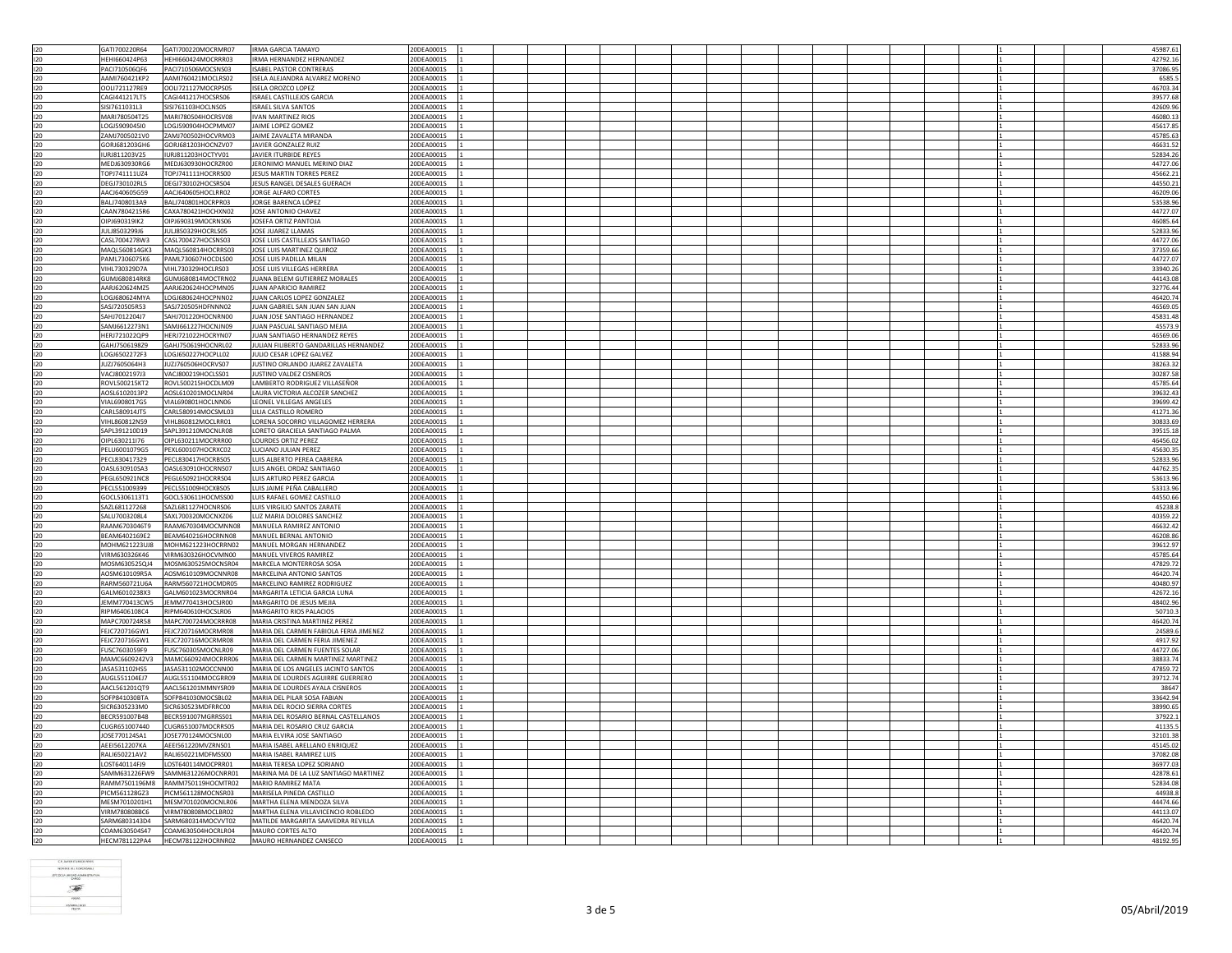| 120 | GAT1700220R64        | GAT1700220MOCRMR07 | <b>IRMA GARCIA TAMAYO</b>              | 20DEA0001S |  |  |  |  |  |  | 45987.61 |
|-----|----------------------|--------------------|----------------------------------------|------------|--|--|--|--|--|--|----------|
| 120 | HEHI660424P63        | HEHI660424MOCRRR03 | IRMA HERNANDEZ HERNANDEZ               | 20DEA0001S |  |  |  |  |  |  | 42792.16 |
| 120 | PACI710506QF6        | PACI710506MOCSNS03 | <b>ISABEL PASTOR CONTRERAS</b>         | 20DEA0001S |  |  |  |  |  |  | 37086.95 |
|     |                      |                    |                                        |            |  |  |  |  |  |  |          |
| 120 | AAMI760421KP2        | AAMI760421MOCLRS02 | ISELA ALEJANDRA ALVAREZ MORENO         | 20DEA0001S |  |  |  |  |  |  | 6585.5   |
| 120 | OOLI721127RE9        | OOLI721127MOCRPS05 | <b>ISELA OROZCO LOPEZ</b>              | 20DEA0001S |  |  |  |  |  |  | 46703.34 |
| 120 | CAG1441217LT5        | CAGI441217HOCSRS06 | ISRAEL CASTILLEJOS GARCIA              | 20DEA0001S |  |  |  |  |  |  | 39577.68 |
|     |                      |                    |                                        |            |  |  |  |  |  |  |          |
| 120 | SISI7611031L3        | SISI761103HOCLNS05 | <b>ISRAEL SILVA SANTOS</b>             | 20DEA0001S |  |  |  |  |  |  | 42609.96 |
| 120 | MARI780504T25        | MARI780504HOCRSV08 | <b>IVAN MARTINEZ RIOS</b>              | 20DEA0001S |  |  |  |  |  |  | 46080.1  |
| 120 | LOGJ5909045I0        | LOGJ590904HOCPMM07 | JAIME LOPEZ GOMEZ                      | 20DEA0001S |  |  |  |  |  |  | 45617.85 |
|     |                      |                    |                                        |            |  |  |  |  |  |  |          |
| 120 | ZAMJ7005021V0        | ZAMJ700502HOCVRM03 | <b>IAIME ZAVALETA MIRANDA</b>          | 20DEA0001S |  |  |  |  |  |  | 45785.6  |
| 120 | GORJ681203GH6        | GORJ681203HOCNZV07 | JAVIER GONZALEZ RUIZ                   | 20DEA0001S |  |  |  |  |  |  | 46631.52 |
| 120 | IURI811203V25        |                    | <b>JAVIER ITURBIDE REYES</b>           | 20DEA0001S |  |  |  |  |  |  | 52834.26 |
|     |                      | IURJ811203HOCTYV01 |                                        |            |  |  |  |  |  |  |          |
| 120 | MEDJ630930RG6        | MEDJ630930HOCRZR00 | JERONIMO MANUEL MERINO DIAZ            | 20DEA0001S |  |  |  |  |  |  | 44727.06 |
| 120 | TOPJ741111UZ4        | TOPJ741111HOCRRS00 | JESUS MARTIN TORRES PEREZ              | 20DEA0001S |  |  |  |  |  |  | 45662.21 |
|     |                      |                    |                                        |            |  |  |  |  |  |  |          |
| 120 | DEGJ730102RL5        | DEGJ730102HOCSRS04 | JESUS RANGEL DESALES GUERACH           | 20DEA0001S |  |  |  |  |  |  | 44550.21 |
| 120 | AACJ640605G59        | AACJ640605HOCLRR02 | JORGE ALFARO CORTES                    | 20DEA0001S |  |  |  |  |  |  | 46209.06 |
| 120 | BALJ7408013A9        | BALI740801HOCRPR03 | JORGE BARENCA LÓPEZ                    | 20DEA0001S |  |  |  |  |  |  | 53538.96 |
|     |                      |                    |                                        |            |  |  |  |  |  |  |          |
| 120 | CAAN7804215R6        | CAXA780421HOCHXN02 | JOSE ANTONIO CHAVEZ                    | 20DEA0001S |  |  |  |  |  |  | 44727.0  |
| 120 | OIPJ690319IK2        | OIPJ690319MOCRNS06 | JOSEFA ORTIZ PANTOJA                   | 20DEA0001S |  |  |  |  |  |  | 46085.64 |
| 120 | JULJ8503299J6        | JULJ850329HOCRLS05 | JOSE JUAREZ LLAMAS                     | 20DEA0001S |  |  |  |  |  |  | 52833.96 |
|     |                      |                    |                                        |            |  |  |  |  |  |  |          |
| 120 | CASI 7004278W3       | CASL700427HOCSNS03 | JOSE LUIS CASTILLEJOS SANTIAGO         | 20DEA0001S |  |  |  |  |  |  | 44727.06 |
| 120 | MAQL560814GK3        | MAQL560814HOCRRS03 | JOSE LUIS MARTINEZ QUIROZ              | 20DEA0001S |  |  |  |  |  |  | 37359.66 |
| 120 | PAML7306075K6        | PAML730607HOCDLS00 | JOSE LUIS PADILLA MILAN                | 20DEA0001S |  |  |  |  |  |  | 44727.07 |
|     |                      |                    |                                        |            |  |  |  |  |  |  |          |
| 120 | VIHL730329D7A        | VIHL730329HOCLRS03 | JOSE LUIS VILLEGAS HERRERA             | 20DEA0001S |  |  |  |  |  |  | 33940.26 |
| 120 | GUMJ680814RK8        | GUMJ680814MOCTRN02 | JUANA BELEM GUTIERREZ MORALES          | 20DEA0001S |  |  |  |  |  |  | 44143.08 |
|     | AARJ620624MZ5        | AARJ620624HOCPMN05 | JUAN APARICIO RAMIREZ                  | 20DEA0001S |  |  |  |  |  |  |          |
| 120 |                      |                    |                                        |            |  |  |  |  |  |  | 32776.44 |
| 120 | LOGJ680624MYA        | LOGJ680624HOCPNN02 | JUAN CARLOS LOPEZ GONZALEZ             | 20DEA0001S |  |  |  |  |  |  | 46420.74 |
| 120 | SASJ720505R53        | SASJ720505HDFNNN02 | JUAN GABRIEL SAN JUAN SAN JUAN         | 20DEA0001S |  |  |  |  |  |  | 46569.05 |
|     |                      |                    | JUAN JOSE SANTIAGO HERNANDEZ           | 20DEA0001S |  |  |  |  |  |  |          |
| 120 | SAHJ7012204J7        | SAHJ701220HOCNRN00 |                                        |            |  |  |  |  |  |  | 45831.48 |
| 120 | SAMJ6612273N1        | SAMJ661227HOCNJN09 | IUAN PASCUAL SANTIAGO MEIIA            | 20DEA0001S |  |  |  |  |  |  | 45573.9  |
| 120 | HERJ721022QP9        | HERJ721022HOCRYN07 | JUAN SANTIAGO HERNANDEZ REYES          | 20DEA0001S |  |  |  |  |  |  | 46569.06 |
|     |                      |                    |                                        |            |  |  |  |  |  |  |          |
| 120 | GAHJ7506198Z9        | GAHJ750619HOCNRL02 | JULIAN FILIBERTO GANDARILLAS HERNANDEZ | 20DEA0001S |  |  |  |  |  |  | 52833.96 |
| 120 | LOGJ6502272F3        | LOGJ650227HOCPLL02 | JULIO CESAR LOPEZ GALVEZ               | 20DEA0001S |  |  |  |  |  |  | 41588.94 |
| 120 | JUZJ7605064H3        | JUZJ760506HOCRVS07 | JUSTINO ORLANDO JUAREZ ZAVALETA        | 20DEA0001S |  |  |  |  |  |  | 38263.32 |
| 120 | VACI800219713        | VACJ800219HOCLSS01 | JUSTINO VALDEZ CISNEROS                | 20DEA0001S |  |  |  |  |  |  | 30287.58 |
|     |                      |                    |                                        |            |  |  |  |  |  |  |          |
| 120 | ROVL500215KT2        | ROVL500215HOCDLM09 | LAMBERTO RODRIGUEZ VILLASEÑOR          | 20DEA0001S |  |  |  |  |  |  | 45785.64 |
| 120 | AOSL6102013P2        | AOSL610201MOCLNR04 | LAURA VICTORIA ALCOZER SANCHEZ         | 20DEA0001S |  |  |  |  |  |  | 39632.43 |
| 120 | VIAL6908017G5        | VIAL690801HOCLNN06 | LEONEL VILLEGAS ANGELES                | 20DEA0001S |  |  |  |  |  |  | 39699.42 |
|     |                      |                    |                                        |            |  |  |  |  |  |  |          |
| 120 | CARL580914JT5        | CARL580914MOCSML03 | LILIA CASTILLO ROMERO                  | 20DEA0001S |  |  |  |  |  |  | 41271.36 |
| 120 | VIHL860812N59        | VIHL860812MOCLRR01 | LORENA SOCORRO VILLAGOMEZ HERRERA      | 20DEA0001S |  |  |  |  |  |  | 30833.69 |
|     | SAPL391210D19        | SAPL391210MOCNLR08 | LORETO GRACIELA SANTIAGO PALMA         | 20DEA0001S |  |  |  |  |  |  | 39515.18 |
| 120 |                      |                    |                                        |            |  |  |  |  |  |  |          |
| 120 | OIPL630211I76        | OIPL630211MOCRRR00 | <b>LOURDES ORTIZ PEREZ</b>             | 20DEA0001S |  |  |  |  |  |  | 46456.02 |
| 120 | PELU6001079G5        | PEXL600107HOCRXC02 | LUCIANO JULIAN PEREZ                   | 20DEA0001S |  |  |  |  |  |  | 45630.35 |
| 120 | PECI 830417329       | PECL830417HOCRBS05 | <b>LUIS ALBERTO PERFA CABRERA</b>      | 20DEA0001S |  |  |  |  |  |  | 52833.96 |
|     |                      |                    |                                        |            |  |  |  |  |  |  |          |
| 120 | OASL630910SA3        | OASL630910HOCRNS07 | LUIS ANGEL ORDAZ SANTIAGO              | 20DEA0001S |  |  |  |  |  |  | 44762.35 |
| 120 | PEGL650921NC8        | PEGL650921HOCRRS04 | LUIS ARTURO PEREZ GARCIA               | 20DEA0001S |  |  |  |  |  |  | 53613.9  |
| 120 | PECL551009399        | PECL551009HOCXBS05 | LUIS JAIME PEÑA CABALLERO              | 20DEA0001S |  |  |  |  |  |  | 53313.96 |
|     |                      |                    |                                        |            |  |  |  |  |  |  |          |
| 120 | GOCL5306113T1        | GOCL530611HOCMSS00 | LUIS RAFAEL GOMEZ CASTILLO             | 20DEA0001S |  |  |  |  |  |  | 44550.66 |
| 120 | SAZL681127268        | SAZL681127HOCNRS06 | LUIS VIRGILIO SANTOS ZARATE            | 20DEA0001S |  |  |  |  |  |  | 45238.8  |
| 120 | SALU7003208L4        | SAXL700320MOCNXZ06 | LUZ MARIA DOLORES SANCHEZ              | 20DEA0001S |  |  |  |  |  |  | 40359.22 |
|     |                      |                    |                                        |            |  |  |  |  |  |  |          |
| 120 | RAAM6703046T9        | RAAM670304MOCMNN08 | MANUELA RAMIREZ ANTONIO                | 20DEA0001S |  |  |  |  |  |  | 46632.42 |
| 120 | BEAM6402169E2        | BEAM640216HOCRNN08 | MANUEL BERNAL ANTONIO                  | 20DEA0001S |  |  |  |  |  |  | 46208.86 |
| 120 | <b>MOHM621223UIR</b> | MOHM621223HOCRRN02 | MANUEL MORGAN HERNANDEZ                | 20DEA0001S |  |  |  |  |  |  | 39612.97 |
|     |                      |                    |                                        |            |  |  |  |  |  |  |          |
| 120 | VIRM630326K46        | VIRM630326HOCVMN00 | MANUEL VIVEROS RAMIREZ                 | 20DEA0001S |  |  |  |  |  |  | 45785.6  |
| 120 | MOSM630525QJ4        | MOSM630525MOCNSR04 | MARCELA MONTERROSA SOSA                | 20DEA0001S |  |  |  |  |  |  | 47829.7  |
| 120 | AOSM610109R5A        | AOSM610109MOCNNR08 | MARCELINA ANTONIO SANTOS               | 20DEA0001S |  |  |  |  |  |  | 46420.74 |
|     |                      |                    |                                        |            |  |  |  |  |  |  |          |
| 120 | RARM560721U6A        | RARM560721HOCMDR05 | MARCELINO RAMIREZ RODRIGUEZ            | 20DEA0001S |  |  |  |  |  |  | 40480.97 |
| 120 | GALM6010238X3        | GALM601023MOCRNR04 | MARGARITA LETICIA GARCIA LUNA          | 20DEA0001S |  |  |  |  |  |  | 42672.16 |
| 120 | JEMM770413CW5        | JEMM770413HOCSJR00 | MARGARITO DE JESUS MEJIA               | 20DEA0001S |  |  |  |  |  |  | 48402.9  |
| 120 | RIPM6406108C4        | RIPM640610HOCSLR06 | <b>MARGARITO RIOS PALACIOS</b>         | 20DEA0001S |  |  |  |  |  |  | 50710.   |
|     |                      |                    |                                        |            |  |  |  |  |  |  |          |
| 120 | MAPC700724R58        | MAPC700724MOCRRR08 | MARIA CRISTINA MARTINEZ PEREZ          | 20DEA0001S |  |  |  |  |  |  | 46420.74 |
| 120 | FEJC720716GW1        | FEJC720716MOCRMR08 | MARIA DEL CARMEN FABIOLA FERIA JIMENEZ | 20DEA0001S |  |  |  |  |  |  | 24589.6  |
|     |                      |                    |                                        |            |  |  |  |  |  |  |          |
| 120 | FEJC720716GW1        | FEJC720716MOCRMR08 | MARIA DEL CARMEN FERIA JIMENEZ         | 20DEA0001S |  |  |  |  |  |  | 4917.92  |
| 120 | <b>FUSC7603059E9</b> | EUSC760305MOCNLR09 | MARIA DEL CARMEN FUENTES SOLAR         | 20DEA0001S |  |  |  |  |  |  | 44727.06 |
| 120 | MAMC6609242V3        | MAMC660924MOCRRR06 | MARIA DEL CARMEN MARTINEZ MARTINEZ     | 20DEA0001S |  |  |  |  |  |  | 38833.74 |
|     |                      |                    |                                        |            |  |  |  |  |  |  |          |
| 120 | JASA531102HS5        | JASA531102MOCCNN00 | MARIA DE LOS ANGELES JACINTO SANTOS    | 20DEA0001S |  |  |  |  |  |  | 47859.72 |
| 120 | AUGL551104EJ7        | AUGL551104MOCGRR09 | MARIA DE LOURDES AGUIRRE GUERRERO      | 20DEA0001S |  |  |  |  |  |  | 39712.74 |
| 120 | AACL561201QT9        | AACL561201MMNYSR09 | MARIA DE LOURDES AYALA CISNEROS        | 20DEA0001S |  |  |  |  |  |  | 3864     |
|     | SOFP841030BTA        | SOFP841030MOCSBL02 | MARIA DEL PILAR SOSA FABIAN            | 20DEA0001S |  |  |  |  |  |  | 33642.94 |
| 120 |                      |                    |                                        |            |  |  |  |  |  |  |          |
| 120 | SICR6305233M0        | SICR630523MDFRRC00 | MARIA DEL ROCIO SIERRA CORTES          | 20DEA0001S |  |  |  |  |  |  | 38990.65 |
| 120 | BECR591007B48        | BECR591007MGRRSS01 | MARIA DEL ROSARIO BERNAL CASTELLANOS   | 20DEA0001S |  |  |  |  |  |  | 37922.1  |
| 120 | CUGR651007440        | CUGR651007MOCRRS05 | MARIA DEL ROSARIO CRUZ GARCIA          | 20DEA0001S |  |  |  |  |  |  | 41135.5  |
|     |                      |                    |                                        |            |  |  |  |  |  |  |          |
| 120 | IOSE770124SA1        | JOSE770124MOCSNL00 | MARIA FLVIRA IOSE SANTIAGO             | 20DEA0001S |  |  |  |  |  |  | 32101.38 |
| 120 | AEEI5612207KA        | AEEI561220MVZRNS01 | MARIA ISABEL ARELLANO ENRIQUEZ         | 20DEA0001S |  |  |  |  |  |  | 45145.02 |
| 120 | RALI650221AV2        | RALI650221MDFMSS00 | MARIA ISABEL RAMIREZ LUIS              | 20DEA0001S |  |  |  |  |  |  | 37082.08 |
|     |                      |                    |                                        |            |  |  |  |  |  |  |          |
| 120 | LOST640114FJ9        | LOST640114MOCPRR01 | MARIA TERESA LOPEZ SORIANO             | 20DEA0001S |  |  |  |  |  |  | 36977.03 |
| 120 | SAMM631226FW9        | SAMM631226MOCNRR01 | MARINA MA DE LA LUZ SANTIAGO MARTINEZ  | 20DEA0001S |  |  |  |  |  |  | 42878.6  |
| 120 | RAMM7501196M8        | RAMM750119HOCMTR02 | MARIO RAMIREZ MATA                     | 20DEA0001S |  |  |  |  |  |  | 52834.08 |
| 120 | PICM561128GZ3        | PICM561128MOCNSR03 | MARISELA PINEDA CASTILLO               | 20DEA0001S |  |  |  |  |  |  | 44938.8  |
|     |                      |                    |                                        |            |  |  |  |  |  |  |          |
| 120 | MESM7010201H1        | MESM701020MOCNLR06 | MARTHA ELENA MENDOZA SILVA             | 20DEA0001S |  |  |  |  |  |  | 44474.66 |
| 120 | VIRM780808BC6        | VIRM780808MOCLBR02 | MARTHA ELENA VILLAVICENCIO ROBLEDO     | 20DEA0001S |  |  |  |  |  |  | 44113.07 |
| 120 | SARM6803143D4        | SARM680314MOCVVT02 | MATILDE MARGARITA SAAVEDRA REVILLA     | 20DEA0001S |  |  |  |  |  |  | 46420.74 |
|     |                      | COAM630504HOCRLR04 |                                        | 20DEA0001S |  |  |  |  |  |  |          |
| 120 | COAM630504S47        |                    | MAURO CORTES ALTO                      |            |  |  |  |  |  |  | 46420.74 |
| 120 | <b>HECM781122PA4</b> | HECM781122HOCRNR02 | MAURO HERNANDEZ CANSECO                | 20DEA0001S |  |  |  |  |  |  | 48192.95 |

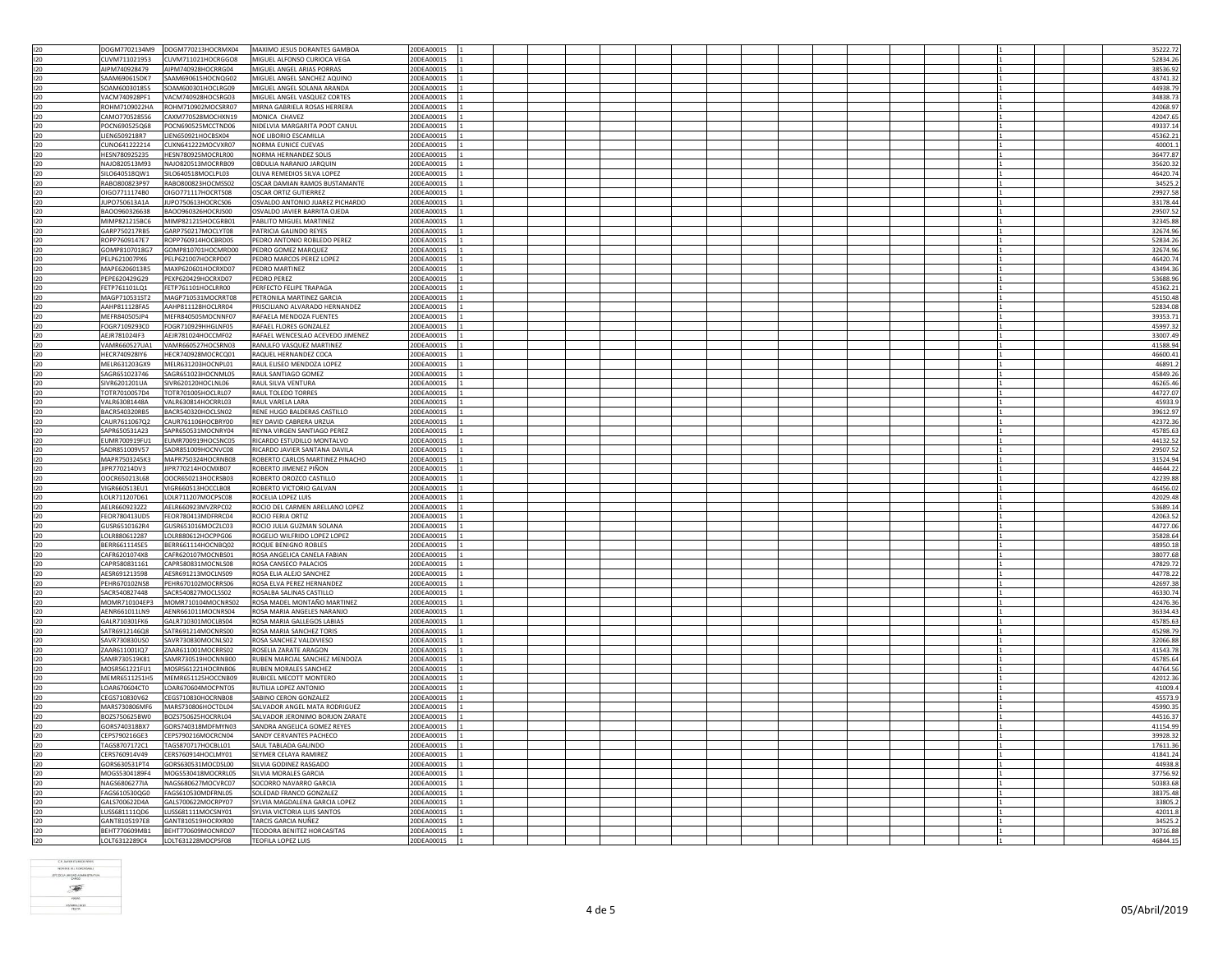|            | DOGM7702134M9                  | DOGM770213HOCRMX04                       | MAXIMO JESUS DORANTES GAMBOA                            | 20DEA0001S               |  |  |  |  | 35222.72             |
|------------|--------------------------------|------------------------------------------|---------------------------------------------------------|--------------------------|--|--|--|--|----------------------|
| 120        |                                |                                          |                                                         |                          |  |  |  |  |                      |
| 120        | CUVM711021953                  | CUVM711021HOCRGGO8                       | MIGUEL ALFONSO CURIOCA VEGA                             | 20DEA0001S               |  |  |  |  | 52834.26             |
| 120        | AIPM740928479                  | AIPM740928HOCRRG04                       | MIGUEL ANGEL ARIAS PORRAS                               | 20DEA0001S               |  |  |  |  | 38536.92             |
| 120        | SAAM690615DK7                  | SAAM690615HOCNQG02                       | MIGUEL ANGEL SANCHEZ AQUINO                             | 20DEA0001S               |  |  |  |  | 43741.32             |
| 120        | SOAM600301855                  | SOAM600301HOCLRG09                       | MIGUEL ANGEL SOLANA ARANDA                              | 20DEA0001S               |  |  |  |  | 44938.79             |
| 120        | VACM740928PF1                  | VACM740928HOCSRG03                       | MIGUEL ANGEL VASQUEZ CORTES                             | 20DEA0001S               |  |  |  |  | 34838.73             |
|            |                                |                                          |                                                         |                          |  |  |  |  |                      |
| 120        | ROHM7109022HA                  | ROHM710902MOCSRR07                       | MIRNA GABRIELA ROSAS HERRERA                            | 20DEA0001S               |  |  |  |  | 42068.9              |
| 120        | CAMO770528556                  | CAXM770528MOCHXN19                       | MONICA CHAVEZ                                           | 20DEA0001S               |  |  |  |  | 42047.65             |
| 120        | POCN690525Q68                  | POCN690525MCCTND06                       | NIDELVIA MARGARITA POOT CANUL                           | 20DEA0001S               |  |  |  |  | 49337.14             |
| 120        | <b>IEN6509218R7</b>            | LIEN650921HOCBSX04                       | NOE LIBORIO ESCAMILLA                                   | 20DEA0001S               |  |  |  |  | 45362.21             |
|            |                                |                                          |                                                         |                          |  |  |  |  |                      |
| 120        | CUNO641222214                  | CUXN641222MOCVXR07                       | NORMA EUNICE CUEVAS                                     | 20DEA0001S               |  |  |  |  | 40001.1              |
| 120        | HESN780925235                  | HESN780925MOCRLR00                       | NORMA HERNANDEZ SOLIS                                   | 20DEA0001S               |  |  |  |  | 36477.87             |
| 120        | NAJO820513M93                  | NAJ0820513MOCRRB09                       | OBDULIA NARANJO JARQUIN                                 | 20DEA0001S               |  |  |  |  | 35620.32             |
|            | SILO640518QW1                  | SILO640518MOCLPL03                       | OLIVA REMEDIOS SILVA LOPEZ                              | 20DEA0001S               |  |  |  |  | 46420.74             |
| 120        |                                |                                          |                                                         |                          |  |  |  |  |                      |
| 120        | RABO800823P97                  | RABO800823HOCMSS02                       | OSCAR DAMIAN RAMOS BUSTAMANTE                           | 20DEA0001S               |  |  |  |  | 34525.2              |
| 120        | OIGO7711174B0                  | OIGO771117HOCRTS08                       | <b>OSCAR ORTIZ GUTIERREZ</b>                            | 20DEA0001S               |  |  |  |  | 29927.58             |
| 120        | JUP0750613A1A                  | JUPO750613HOCRCS06                       | OSVALDO ANTONIO JUAREZ PICHARDO                         | 20DEA0001S               |  |  |  |  | 33178.44             |
|            |                                |                                          |                                                         |                          |  |  |  |  |                      |
| 120        | BAOO960326638                  | BAOO960326HOCRJS00                       | OSVALDO JAVIER BARRITA OJEDA                            | 20DEA0001S               |  |  |  |  | 29507.52             |
| 120        | MIMP821215BC6                  | MIMP821215HOCGRB01                       | PABLITO MIGUEL MARTINEZ                                 | 20DEA0001S               |  |  |  |  | 32345.88             |
| 120        | GARP750217RB5                  | GARP750217MOCLYT08                       | PATRICIA GALINDO REYES                                  | 20DEA0001S               |  |  |  |  | 32674.96             |
| 120        | ROPP7609147E7                  | ROPP760914HOCBRD05                       | PEDRO ANTONIO ROBLEDO PEREZ                             | 20DEA0001S               |  |  |  |  | 52834.26             |
|            |                                |                                          |                                                         |                          |  |  |  |  |                      |
| 120        | GOMP8107018G7                  | GOMP810701HOCMRD00                       | PEDRO GOMEZ MARQUEZ                                     | 20DEA0001S               |  |  |  |  | 32674.96             |
| 120        | PELP621007PX6                  | PELP621007HOCRPD07                       | PEDRO MARCOS PEREZ LOPEZ                                | 20DEA0001S               |  |  |  |  | 46420.74             |
| 120        | MAPE6206013R5                  | MAXP620601HOCRXD07                       | PEDRO MARTINEZ                                          | 20DEA0001S               |  |  |  |  | 43494.36             |
|            |                                |                                          |                                                         |                          |  |  |  |  |                      |
| 120        | PEPE620429G29                  | PEXP620429HOCRXD07                       | PEDRO PEREZ                                             | 20DEA0001S               |  |  |  |  | 53688.96             |
| 120        | ETP761101LQ1                   | FETP761101HOCLRR00                       | PERFECTO FELIPE TRAPAGA                                 | 20DEA0001S               |  |  |  |  | 45362.21             |
| 120        | MAGP710531ST2                  | MAGP710531MOCRRT08                       | PETRONILA MARTINEZ GARCIA                               | 20DEA0001S               |  |  |  |  | 45150.48             |
| 120        | AAHP811128FA5                  | AAHP811128HOCLRR04                       | PRISCILIANO ALVARADO HERNANDEZ                          | 20DEA0001S               |  |  |  |  | 52834.08             |
|            |                                |                                          |                                                         |                          |  |  |  |  |                      |
| 120        | MEFR840505JP4                  | MEFR840505MOCNNF07                       | RAFAELA MENDOZA FUENTES                                 | 20DEA0001S               |  |  |  |  | 39353.71             |
| 120        | FOGR7109293C0                  | FOGR710929HHGLNF05                       | RAFAEL FLORES GONZALEZ                                  | 20DEA0001S               |  |  |  |  | 45997.32             |
| 120        | AEJR781024IF3                  | AEJR781024HOCCMF02                       | RAFAEL WENCESLAO ACEVEDO JIMENEZ                        | 20DEA0001S               |  |  |  |  | 33007.49             |
| 120        | VAMR660527UA1                  | VAMR660527HOCSRN03                       | RANULFO VASQUEZ MARTINEZ                                | 20DEA0001S               |  |  |  |  | 41588.94             |
|            |                                |                                          |                                                         |                          |  |  |  |  |                      |
| 120        | HECR740928IY6                  | HECR740928MOCRCQ01                       | RAQUEL HERNANDEZ COCA                                   | 20DEA0001S               |  |  |  |  | 46600.41             |
| 120        | MELR631203GX9                  | MELR631203HOCNPL01                       | RAUL ELISEO MENDOZA LOPEZ                               | 20DEA0001S               |  |  |  |  | 46891.2              |
| 120        | GAGR651023746                  | SAGR651023HOCNML05                       | RAUL SANTIAGO GOMEZ                                     | 20DEA0001S               |  |  |  |  | 45849.26             |
|            |                                |                                          |                                                         |                          |  |  |  |  |                      |
| 120        | SIVR6201201UA                  | SIVR620120HOCLNL06                       | RAUL SILVA VENTURA                                      | 20DEA0001S               |  |  |  |  | 46265.46             |
| 120        | TOTR7010057D4                  | TOTR701005HOCLRL07                       | <b>RAUL TOLEDO TORRES</b>                               | 20DEA0001S               |  |  |  |  | 44727.07             |
| 120        | VALR63081448A                  | VALR630814HOCRRL03                       | RAUL VARELA LARA                                        | 20DEA0001S               |  |  |  |  | 45933.9              |
| 120        | BACR540320RB5                  | BACR540320HOCLSN02                       | RENE HUGO BALDERAS CASTILLO                             | 20DEA0001S               |  |  |  |  | 39612.97             |
|            |                                |                                          |                                                         |                          |  |  |  |  |                      |
| 120        | CAUR7611067Q2                  | CAUR761106HOCBRY00                       | REY DAVID CABRERA URZUA                                 | 20DEA0001S               |  |  |  |  | 42372.36             |
| 120        | SAPR650531A23                  | SAPR650531MOCNRY04                       | <b>REYNA VIRGEN SANTIAGO PEREZ</b>                      | 20DEA0001S               |  |  |  |  | 45785.63             |
| 120        | EUMR700919FU1                  | EUMR700919HOCSNC05                       | RICARDO ESTUDILLO MONTALVO                              | 20DEA0001S               |  |  |  |  | 44132.52             |
|            |                                |                                          |                                                         |                          |  |  |  |  |                      |
|            |                                |                                          |                                                         |                          |  |  |  |  |                      |
| 120        | SADR851009V57                  | SADR851009HOCNVC08                       | RICARDO JAVIER SANTANA DAVILA                           | 20DE A0001S              |  |  |  |  | 29507.52             |
| 120        | MAPR7503245K3                  | MAPR750324HOCRNB08                       | ROBERTO CARLOS MARTINEZ PINACHO                         | 20DEA0001S               |  |  |  |  | 31524.94             |
|            | JIPR770214DV3                  | JIPR770214HOCMXB07                       | ROBERTO JIMENEZ PIÑON                                   | 20DEA0001S               |  |  |  |  | 44644.2              |
| 120        |                                |                                          |                                                         |                          |  |  |  |  |                      |
| 120        | OOCR650213L68                  | OOCR650213HOCRSB03                       | ROBERTO OROZCO CASTILLO                                 | 20DEA0001S               |  |  |  |  | 42239.88             |
| 120        | VIGR660513EU1                  | VIGR660513HOCCLB08                       | ROBERTO VICTORIO GALVAN                                 | 20DEA0001S               |  |  |  |  | 46456.02             |
| 120        | OLR711207D61                   | LOLR711207MOCPSC08                       | ROCELIA LOPEZ LUIS                                      | 20DEA0001S               |  |  |  |  | 42029.48             |
|            |                                |                                          |                                                         |                          |  |  |  |  |                      |
| 120        | AELR6609232Z2                  | AELR660923MVZRPC02                       | ROCIO DEL CARMEN ARELLANO LOPEZ                         | 20DEA0001S               |  |  |  |  | 53689.14             |
| 120        | FFOR 780413UD5                 | FFOR780413MDFRRC04                       | ROCIO FERIA ORTIZ                                       | 20DEA0001S               |  |  |  |  | 42063.52             |
| 120        | GUSR6510162R4                  | GUSR651016MOCZLC03                       | ROCIO JULIA GUZMAN SOLANA                               | 20DEA0001S               |  |  |  |  | 44727.06             |
| 120        | LOLR880612287                  | LOLR880612HOCPPG06                       | ROGELIO WILFRIDO LOPEZ LOPEZ                            | 20DE A0001S              |  |  |  |  | 35828.64             |
|            |                                |                                          |                                                         |                          |  |  |  |  |                      |
| 120        | BERR661114SE5                  | BERR661114HOCNBQ02                       | ROQUE BENIGNO ROBLES                                    | 20DEA0001S               |  |  |  |  | 48950.18             |
| 120        | CAFR6201074X8                  | CAFR620107MOCNBS01                       | ROSA ANGELICA CANELA FABIAN                             | 20DEA0001S               |  |  |  |  | 38077.68             |
| 120        | CAPR580831161                  | CAPR580831MOCNLS08                       | ROSA CANSECO PALACIOS                                   | 20DEA0001S               |  |  |  |  | 47829.72             |
| 120        | AESR691213598                  | AESR691213MOCLNS09                       | ROSA ELIA ALEJO SANCHEZ                                 | 20DEA0001S               |  |  |  |  | 44778.22             |
|            |                                |                                          |                                                         |                          |  |  |  |  |                      |
| 120        | PEHR670102NS8                  | PEHR670102MOCRRS06                       | ROSA ELVA PEREZ HERNANDEZ                               | 20DEA0001S               |  |  |  |  | 42697.38             |
| 120        | SACR540827448                  | SACR540827MOCLSS02                       | ROSALBA SALINAS CASTILLO                                | 20DEA0001S               |  |  |  |  | 46330.74             |
| 120        | MOMR710104FP3                  | MOMR710104MOCNRS02                       | ROSA MADEL MONTAÑO MARTINEZ                             | 20DEA0001S               |  |  |  |  | 42476.36             |
| 120        | AENR661011LN9                  | AENR661011MOCNRS04                       | ROSA MARIA ANGELES NARANJO                              | 20DEA0001S               |  |  |  |  | 36334.43             |
|            | GAI R710301FK6                 | GALR710301MOCLBS04                       | ROSA MARIA GALLEGOS LABIAS                              | 20DEA0001S               |  |  |  |  | 45785.63             |
| 120        |                                |                                          |                                                         |                          |  |  |  |  |                      |
| 120        | 6ATR6912146Q8                  | SATR691214MOCNRS00                       | ROSA MARIA SANCHEZ TORIS                                | 20DEA0001S               |  |  |  |  | 45298.79             |
| 120        | SAVR730830US0                  | SAVR730830MOCNLS02                       | ROSA SANCHEZ VALDIVIESO                                 | 20DEA0001S               |  |  |  |  | 32066.88             |
| 120        | ZAAR611001lQ7                  | ZAAR611001MOCRRS02                       | ROSELIA ZARATE ARAGON                                   | 20DEA0001S               |  |  |  |  | 41543.78             |
|            |                                |                                          |                                                         |                          |  |  |  |  |                      |
| 120        | SAMR730519K81                  | SAMR730519HOCNNB00                       | RUBEN MARCIAL SANCHEZ MENDOZA                           | 20DEA0001S               |  |  |  |  | 45785.64             |
| 120        | MOSR561221FU1                  | MOSR561221HOCRNB06                       | <b>RUBEN MORALES SANCHEZ</b>                            | 20DEA0001S               |  |  |  |  | 44764.56             |
| 120        | MEMR6511251H5                  | MEMR651125HOCCNB09                       | RUBICEL MECOTT MONTERO                                  | 20DEA0001S               |  |  |  |  | 42012.36             |
| 120        | LOAR670604CT0                  | LOAR670604MOCPNT05                       | RUTILIA LOPEZ ANTONIO                                   | 20DEA0001S               |  |  |  |  |                      |
|            |                                |                                          |                                                         |                          |  |  |  |  | 41009.4              |
| 120        | CEGS710830V62                  | CEGS710830HOCRNB08                       | SABINO CERON GONZALEZ                                   | 20DEA0001S               |  |  |  |  | 45573.9              |
| 120        | MARS730806ME6                  | MARS730806HOCTDL04                       | SALVADOR ANGEL MATA RODRIGUEZ                           | 20DEA0001S               |  |  |  |  | 45990.35             |
| 120        | BOZS750625BW0                  | BOZS750625HOCRRL04                       | SALVADOR JERONIMO BORJON ZARATE                         | 20DEA0001S               |  |  |  |  | 44516.37             |
| 120        | GORS740318BX7                  | GORS740318MDFMYN03                       | SANDRA ANGELICA GOMEZ REYES                             | 20DEA0001S               |  |  |  |  | 41154.99             |
|            |                                |                                          |                                                         |                          |  |  |  |  |                      |
| 120        | CEPS790216GE3                  | CEPS790216MOCRCN04                       | SANDY CERVANTES PACHECO                                 | 20DEA0001S               |  |  |  |  | 39928.32             |
| 120        | TAGS8707172C1                  | TAGS870717HOCBLL01                       | SAUL TABLADA GALINDO                                    | 20DEA0001S               |  |  |  |  | 17611.36             |
| 120        | CERS760914V49                  | CERS760914HOCLMY01                       | SEYMER CELAYA RAMIREZ                                   | 20DEA0001S               |  |  |  |  | 41841.24             |
| 120        | GORS630531PT4                  | GORS630531MOCDSL00                       | SILVIA GODINEZ RASGADO                                  | 20DEA0001S               |  |  |  |  | 44938.8              |
|            |                                |                                          |                                                         |                          |  |  |  |  |                      |
| 120        | MOGS5304189F4                  | MOGS530418MOCRRL05                       | SILVIA MORALES GARCIA                                   | 20DEA0001S               |  |  |  |  | 37756.92             |
| 120        | NAGS6806277IA                  | NAGS680627MOCVRC07                       | SOCORRO NAVARRO GARCIA                                  | 20DEA0001S               |  |  |  |  | 50383.68             |
| 120        | AGS6105300G0                   | <b>FAGS610530MDERNL05</b>                | SOLEDAD FRANCO GONZALEZ                                 | 20DEA0001S               |  |  |  |  | 38375.48             |
| 120        | GALS700622D4A                  | GALS700622MOCRPY07                       | SYLVIA MAGDALENA GARCIA LOPEZ                           | 20DEA0001S               |  |  |  |  | 33805.2              |
|            | LUSS681111QD6                  |                                          | SYLVIA VICTORIA LUIS SANTOS                             |                          |  |  |  |  |                      |
| 120        |                                | LUSS681111MOCSNY01                       |                                                         | 20DEA0001S               |  |  |  |  | 42011.8              |
| 120        | GANT8105197E8                  | GANT810519HOCRXR00                       | TARCIS GARCIA NUÑEZ                                     | 20DEA0001S               |  |  |  |  | 34525.2              |
| 120<br>120 | BEHT770609MB1<br>LOLT6312289C4 | BEHT770609MOCNRD07<br>LOLT631228MOCPSF08 | TEODORA BENITEZ HORCASITAS<br><b>TEOFILA LOPEZ LUIS</b> | 20DEA0001S<br>20DEA0001S |  |  |  |  | 30716.88<br>46844.15 |

| CONTRACTORSONALE              |  |
|-------------------------------|--|
| C.F. JAVER ITURBER REYES      |  |
| <b>NOMBRE DEL RESPONSABLE</b> |  |
| CALG                          |  |
|                               |  |
|                               |  |
|                               |  |
|                               |  |
|                               |  |